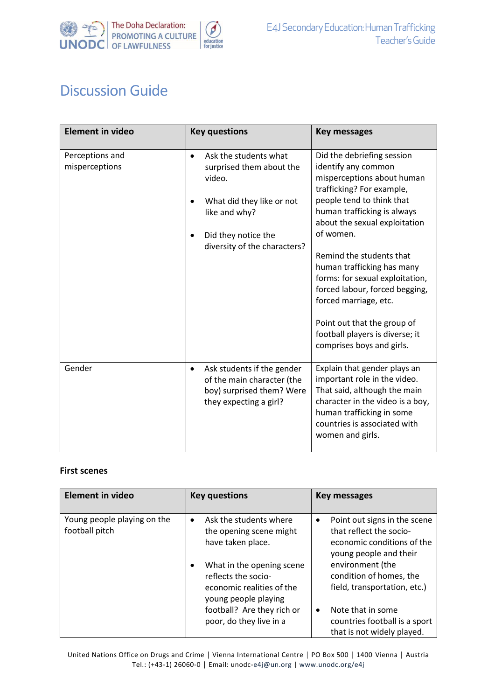

## Discussion Guide

| <b>Element in video</b>           | <b>Key questions</b>                                                                                                                                                          | <b>Key messages</b>                                                                                                                                                                                                                                                                                                                                                                                                                                                           |
|-----------------------------------|-------------------------------------------------------------------------------------------------------------------------------------------------------------------------------|-------------------------------------------------------------------------------------------------------------------------------------------------------------------------------------------------------------------------------------------------------------------------------------------------------------------------------------------------------------------------------------------------------------------------------------------------------------------------------|
| Perceptions and<br>misperceptions | Ask the students what<br>$\bullet$<br>surprised them about the<br>video.<br>What did they like or not<br>like and why?<br>Did they notice the<br>diversity of the characters? | Did the debriefing session<br>identify any common<br>misperceptions about human<br>trafficking? For example,<br>people tend to think that<br>human trafficking is always<br>about the sexual exploitation<br>of women.<br>Remind the students that<br>human trafficking has many<br>forms: for sexual exploitation,<br>forced labour, forced begging,<br>forced marriage, etc.<br>Point out that the group of<br>football players is diverse; it<br>comprises boys and girls. |
| Gender                            | Ask students if the gender<br>$\bullet$<br>of the main character (the<br>boy) surprised them? Were<br>they expecting a girl?                                                  | Explain that gender plays an<br>important role in the video.<br>That said, although the main<br>character in the video is a boy,<br>human trafficking in some<br>countries is associated with<br>women and girls.                                                                                                                                                                                                                                                             |

## **First scenes**

| <b>Element in video</b>                       | <b>Key questions</b>                                                                                  | <b>Key messages</b>                                                                                                          |
|-----------------------------------------------|-------------------------------------------------------------------------------------------------------|------------------------------------------------------------------------------------------------------------------------------|
| Young people playing on the<br>football pitch | Ask the students where<br>$\bullet$<br>the opening scene might<br>have taken place.                   | Point out signs in the scene<br>$\bullet$<br>that reflect the socio-<br>economic conditions of the<br>young people and their |
|                                               | What in the opening scene<br>reflects the socio-<br>economic realities of the<br>young people playing | environment (the<br>condition of homes, the<br>field, transportation, etc.)                                                  |
|                                               | football? Are they rich or<br>poor, do they live in a                                                 | Note that in some<br>$\bullet$<br>countries football is a sport<br>that is not widely played.                                |

United Nations Office on Drugs and Crime │ Vienna International Centre │ PO Box 500 │ 1400 Vienna │ Austria Tel.: (+43-1) 26060-0 **│** Email: unodc[-e4j@un.org](mailto:e4j@un.org) | [www.unodc.org/e4j](http://www.unodc.org/e4j)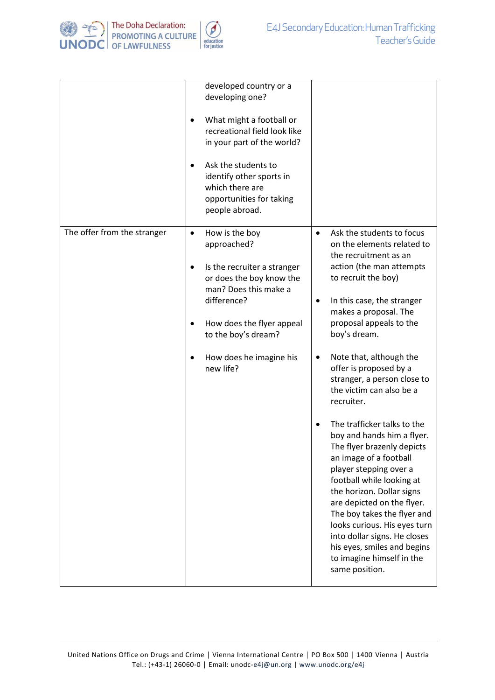

|                             | developed country or a<br>developing one?<br>What might a football or<br>٠<br>recreational field look like<br>in your part of the world?<br>Ask the students to<br>$\bullet$<br>identify other sports in<br>which there are<br>opportunities for taking<br>people abroad. |                                                                                                                                                                                                                                                                                                                                                                                                                                                                                                                                                                                                                                                                                                                                                                                                                |
|-----------------------------|---------------------------------------------------------------------------------------------------------------------------------------------------------------------------------------------------------------------------------------------------------------------------|----------------------------------------------------------------------------------------------------------------------------------------------------------------------------------------------------------------------------------------------------------------------------------------------------------------------------------------------------------------------------------------------------------------------------------------------------------------------------------------------------------------------------------------------------------------------------------------------------------------------------------------------------------------------------------------------------------------------------------------------------------------------------------------------------------------|
| The offer from the stranger | How is the boy<br>$\bullet$<br>approached?<br>Is the recruiter a stranger<br>or does the boy know the<br>man? Does this make a<br>difference?<br>How does the flyer appeal<br>$\bullet$<br>to the boy's dream?<br>How does he imagine his<br>new life?                    | Ask the students to focus<br>$\bullet$<br>on the elements related to<br>the recruitment as an<br>action (the man attempts<br>to recruit the boy)<br>In this case, the stranger<br>٠<br>makes a proposal. The<br>proposal appeals to the<br>boy's dream.<br>Note that, although the<br>٠<br>offer is proposed by a<br>stranger, a person close to<br>the victim can also be a<br>recruiter.<br>The trafficker talks to the<br>boy and hands him a flyer.<br>The flyer brazenly depicts<br>an image of a football<br>player stepping over a<br>football while looking at<br>the horizon. Dollar signs<br>are depicted on the flyer.<br>The boy takes the flyer and<br>looks curious. His eyes turn<br>into dollar signs. He closes<br>his eyes, smiles and begins<br>to imagine himself in the<br>same position. |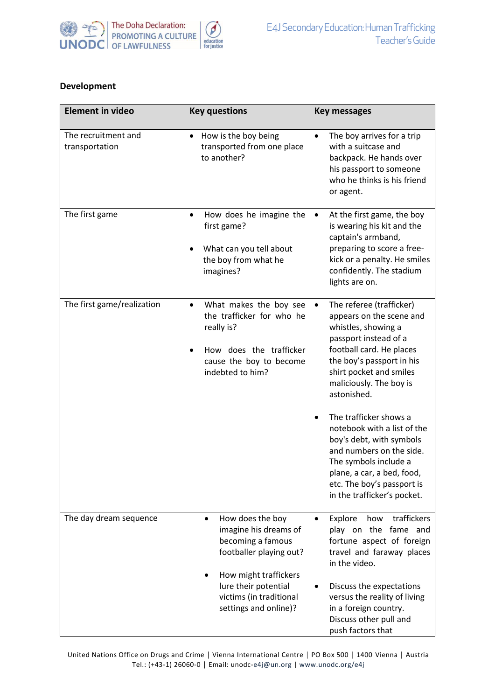

## **Development**

| <b>Element in video</b>               | <b>Key questions</b>                                                                                                                                                                                        | <b>Key messages</b>                                                                                                                                                                                                                                                                                                                                                                                                                                                                               |
|---------------------------------------|-------------------------------------------------------------------------------------------------------------------------------------------------------------------------------------------------------------|---------------------------------------------------------------------------------------------------------------------------------------------------------------------------------------------------------------------------------------------------------------------------------------------------------------------------------------------------------------------------------------------------------------------------------------------------------------------------------------------------|
| The recruitment and<br>transportation | How is the boy being<br>٠<br>transported from one place<br>to another?                                                                                                                                      | The boy arrives for a trip<br>$\bullet$<br>with a suitcase and<br>backpack. He hands over<br>his passport to someone<br>who he thinks is his friend<br>or agent.                                                                                                                                                                                                                                                                                                                                  |
| The first game                        | How does he imagine the<br>٠<br>first game?<br>What can you tell about<br>٠<br>the boy from what he<br>imagines?                                                                                            | At the first game, the boy<br>$\bullet$<br>is wearing his kit and the<br>captain's armband,<br>preparing to score a free-<br>kick or a penalty. He smiles<br>confidently. The stadium<br>lights are on.                                                                                                                                                                                                                                                                                           |
| The first game/realization            | What makes the boy see<br>$\bullet$<br>the trafficker for who he<br>really is?<br>How does the trafficker<br>cause the boy to become<br>indebted to him?                                                    | The referee (trafficker)<br>$\bullet$<br>appears on the scene and<br>whistles, showing a<br>passport instead of a<br>football card. He places<br>the boy's passport in his<br>shirt pocket and smiles<br>maliciously. The boy is<br>astonished.<br>The trafficker shows a<br>$\bullet$<br>notebook with a list of the<br>boy's debt, with symbols<br>and numbers on the side.<br>The symbols include a<br>plane, a car, a bed, food,<br>etc. The boy's passport is<br>in the trafficker's pocket. |
| The day dream sequence                | How does the boy<br>$\bullet$<br>imagine his dreams of<br>becoming a famous<br>footballer playing out?<br>How might traffickers<br>lure their potential<br>victims (in traditional<br>settings and online)? | traffickers<br>Explore<br>how<br>play on the fame and<br>fortune aspect of foreign<br>travel and faraway places<br>in the video.<br>Discuss the expectations<br>$\bullet$<br>versus the reality of living<br>in a foreign country.<br>Discuss other pull and<br>push factors that                                                                                                                                                                                                                 |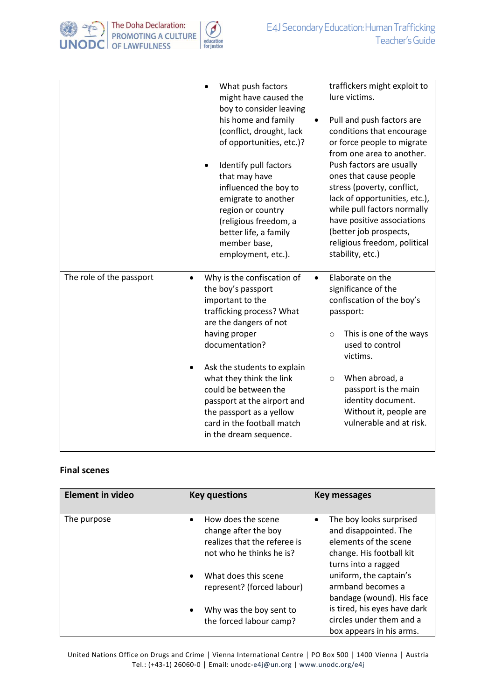

|                          | What push factors<br>might have caused the<br>boy to consider leaving<br>his home and family<br>(conflict, drought, lack<br>of opportunities, etc.)?<br>Identify pull factors<br>that may have<br>influenced the boy to<br>emigrate to another<br>region or country<br>(religious freedom, a<br>better life, a family<br>member base,<br>employment, etc.).                            | traffickers might exploit to<br>lure victims.<br>Pull and push factors are<br>$\bullet$<br>conditions that encourage<br>or force people to migrate<br>from one area to another.<br>Push factors are usually<br>ones that cause people<br>stress (poverty, conflict,<br>lack of opportunities, etc.),<br>while pull factors normally<br>have positive associations<br>(better job prospects,<br>religious freedom, political<br>stability, etc.) |
|--------------------------|----------------------------------------------------------------------------------------------------------------------------------------------------------------------------------------------------------------------------------------------------------------------------------------------------------------------------------------------------------------------------------------|-------------------------------------------------------------------------------------------------------------------------------------------------------------------------------------------------------------------------------------------------------------------------------------------------------------------------------------------------------------------------------------------------------------------------------------------------|
| The role of the passport | Why is the confiscation of<br>$\bullet$<br>the boy's passport<br>important to the<br>trafficking process? What<br>are the dangers of not<br>having proper<br>documentation?<br>Ask the students to explain<br>٠<br>what they think the link<br>could be between the<br>passport at the airport and<br>the passport as a yellow<br>card in the football match<br>in the dream sequence. | Elaborate on the<br>$\bullet$<br>significance of the<br>confiscation of the boy's<br>passport:<br>This is one of the ways<br>$\circ$<br>used to control<br>victims.<br>When abroad, a<br>$\circ$<br>passport is the main<br>identity document.<br>Without it, people are<br>vulnerable and at risk.                                                                                                                                             |

## **Final scenes**

| <b>Element in video</b> | <b>Key questions</b>                                                                                        | <b>Key messages</b>                                                                                                          |
|-------------------------|-------------------------------------------------------------------------------------------------------------|------------------------------------------------------------------------------------------------------------------------------|
| The purpose             | How does the scene<br>٠<br>change after the boy<br>realizes that the referee is<br>not who he thinks he is? | The boy looks surprised<br>and disappointed. The<br>elements of the scene<br>change. His football kit<br>turns into a ragged |
|                         | What does this scene<br>$\bullet$<br>represent? (forced labour)                                             | uniform, the captain's<br>armband becomes a<br>bandage (wound). His face                                                     |
|                         | Why was the boy sent to<br>٠<br>the forced labour camp?                                                     | is tired, his eyes have dark<br>circles under them and a<br>box appears in his arms.                                         |

United Nations Office on Drugs and Crime │ Vienna International Centre │ PO Box 500 │ 1400 Vienna │ Austria Tel.: (+43-1) 26060-0 **│** Email: unodc[-e4j@un.org](mailto:e4j@un.org) | [www.unodc.org/e4j](http://www.unodc.org/e4j)